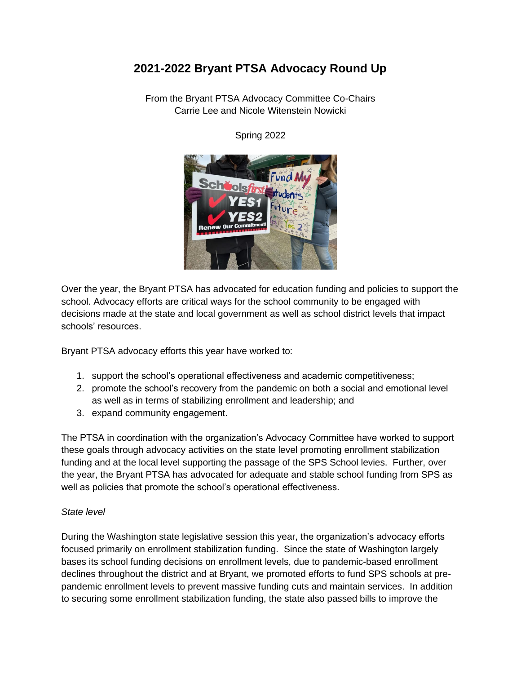# **2021-2022 Bryant PTSA Advocacy Round Up**

From the Bryant PTSA Advocacy Committee Co-Chairs Carrie Lee and Nicole Witenstein Nowicki



Spring 2022

Over the year, the Bryant PTSA has advocated for education funding and policies to support the school. Advocacy efforts are critical ways for the school community to be engaged with decisions made at the state and local government as well as school district levels that impact schools' resources.

Bryant PTSA advocacy efforts this year have worked to:

- 1. support the school's operational effectiveness and academic competitiveness;
- 2. promote the school's recovery from the pandemic on both a social and emotional level as well as in terms of stabilizing enrollment and leadership; and
- 3. expand community engagement.

The PTSA in coordination with the organization's Advocacy Committee have worked to support these goals through advocacy activities on the state level promoting enrollment stabilization funding and at the local level supporting the passage of the SPS School levies. Further, over the year, the Bryant PTSA has advocated for adequate and stable school funding from SPS as well as policies that promote the school's operational effectiveness.

#### *State level*

During the Washington state legislative session this year, the organization's advocacy efforts focused primarily on enrollment stabilization funding. Since the state of Washington largely bases its school funding decisions on enrollment levels, due to pandemic-based enrollment declines throughout the district and at Bryant, we promoted efforts to fund SPS schools at prepandemic enrollment levels to prevent massive funding cuts and maintain services. In addition to securing some enrollment stabilization funding, the state also passed bills to improve the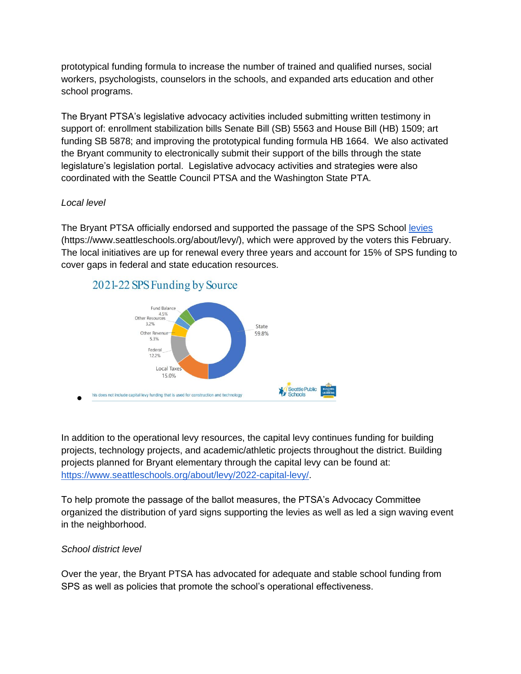prototypical funding formula to increase the number of trained and qualified nurses, social workers, psychologists, counselors in the schools, and expanded arts education and other school programs.

The Bryant PTSA's legislative advocacy activities included submitting written testimony in support of: enrollment stabilization bills Senate Bill (SB) 5563 and House Bill (HB) 1509; art funding SB 5878; and improving the prototypical funding formula HB 1664. We also activated the Bryant community to electronically submit their support of the bills through the state legislature's legislation portal. Legislative advocacy activities and strategies were also coordinated with the Seattle Council PTSA and the Washington State PTA.

### *Local level*

The Bryant PTSA officially endorsed and supported the passage of the SPS School [levies](https://www.seattleschools.org/about/levy/) (https://www.seattleschools.org/about/levy/), which were approved by the voters this February. The local initiatives are up for renewal every three years and account for 15% of SPS funding to cover gaps in federal and state education resources.

## 2021-22 SPS Funding by Source



In addition to the operational levy resources, the capital levy continues funding for building projects, technology projects, and academic/athletic projects throughout the district. Building projects planned for Bryant elementary through the capital levy can be found at: [https://www.seattleschools.org/about/levy/2022-capital-levy/.](https://www.seattleschools.org/about/levy/2022-capital-levy/)

To help promote the passage of the ballot measures, the PTSA's Advocacy Committee organized the distribution of yard signs supporting the levies as well as led a sign waving event in the neighborhood.

### *School district level*

Over the year, the Bryant PTSA has advocated for adequate and stable school funding from SPS as well as policies that promote the school's operational effectiveness.